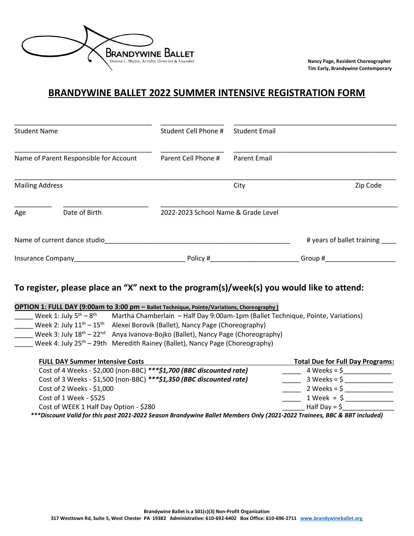

**Nancy Page, Resident Choreographer Tim Early, Brandywine Contemporary**

## **BRANDYWINE BALLET 2022 SUMMER INTENSIVE REGISTRATION FORM**

| <b>Student Name</b><br>Name of Parent Responsible for Account<br><b>Mailing Address</b> |               | Student Cell Phone #<br>Parent Cell Phone # | <b>Student Email</b> |                            |
|-----------------------------------------------------------------------------------------|---------------|---------------------------------------------|----------------------|----------------------------|
|                                                                                         |               |                                             | <b>Parent Email</b>  |                            |
|                                                                                         |               |                                             | City                 | Zip Code                   |
| Age                                                                                     | Date of Birth | 2022-2023 School Name & Grade Level         |                      |                            |
| Name of current dance studio                                                            |               |                                             |                      | # years of ballet training |
| Insurance Company                                                                       |               | Policy #                                    |                      | Group #                    |

## **To register, please place an "X" next to the program(s)/week(s) you would like to attend:**

| OPTION 1: FULL DAY (9:00am to 3:00 pm - Ballet Technique, Pointe/Variations, Choreography) |                                                                                         |  |  |  |  |
|--------------------------------------------------------------------------------------------|-----------------------------------------------------------------------------------------|--|--|--|--|
| Week 1: July $5th - 8th$                                                                   | Martha Chamberlain - Half Day 9:00am-1pm (Ballet Technique, Pointe, Variations)         |  |  |  |  |
| Week 2: July $11^{th} - 15^{th}$                                                           | Alexei Borovik (Ballet), Nancy Page (Choreography)                                      |  |  |  |  |
|                                                                                            | Week 3: July $18^{th} - 22^{nd}$ Anya Ivanova-Bojko (Ballet), Nancy Page (Choreography) |  |  |  |  |
|                                                                                            | Week 4: July $25th - 29th$ Meredith Rainey (Ballet), Nancy Page (Choreography)          |  |  |  |  |
|                                                                                            |                                                                                         |  |  |  |  |
|                                                                                            |                                                                                         |  |  |  |  |

| <b>FULL DAY Summer Intensive Costs</b>                                                                                   | <b>Total Due for Full Day Programs:</b> |  |
|--------------------------------------------------------------------------------------------------------------------------|-----------------------------------------|--|
| Cost of 4 Weeks - \$2,000 (non-BBC) *** \$1,700 (BBC discounted rate)                                                    | $4 \text{ weeks} = $$                   |  |
| Cost of 3 Weeks - \$1,500 (non-BBC) *** \$1,350 (BBC discounted rate)                                                    | $3 \text{ weeks} = $$                   |  |
| Cost of 2 Weeks - \$1,000                                                                                                | $2 \text{ weeks} = $$                   |  |
| Cost of 1 Week - \$525                                                                                                   | $1$ Week = $\zeta$                      |  |
| Cost of WEEK 1 Half Day Option - \$280                                                                                   | Half Day = $\frac{1}{2}$                |  |
| ***Discount Valid for this past 2021-2022 Season Brandywine Ballet Members Only (2021-2022 Trainees, BBC & BBT included) |                                         |  |